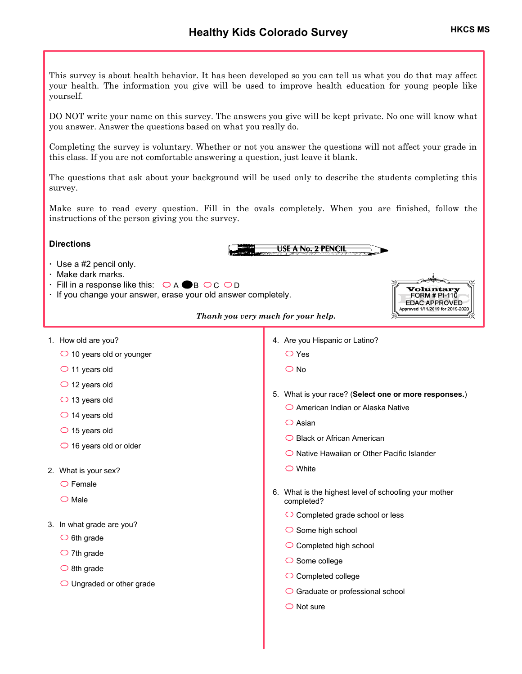This survey is about health behavior. It has been developed so you can tell us what you do that may affect your health. The information you give will be used to improve health education for young people like yourself.

DO NOT write your name on this survey. The answers you give will be kept private. No one will know what you answer. Answer the questions based on what you really do.

Completing the survey is voluntary. Whether or not you answer the questions will not affect your grade in this class. If you are not comfortable answering a question, just leave it blank.

The questions that ask about your background will be used only to describe the students completing this survey.

Make sure to read every question. Fill in the ovals completely. When you are finished, follow the instructions of the person giving you the survey.

## **Directions**

- **ꞏ** Use a #2 pencil only.
- **ꞏ** Make dark marks.
- $\cdot$  Fill in a response like this:  $\circledcirc$  A  $\bullet$  B  $\circledcirc$  C  $\circledcirc$  D
- **ꞏ** If you change your answer, erase your old answer completely.



*Thank you very much for your help.*

- 1. How old are you?
	- 10 years old or younger
	- $\bigcirc$  11 years old
	- $\bigcirc$  12 years old
	- $\bigcirc$  13 years old
	- $\bigcirc$  14 years old
	- $\bigcirc$  15 years old
	- $\bigcirc$  16 years old or older
- 2. What is your sex?
	- $\bigcirc$  Female
	- $\bigcirc$  Male
- 3. In what grade are you?
	- $\bigcirc$  6th grade
	- $\bigcirc$  7th grade
	- $\bigcirc$  8th grade
	- O Ungraded or other grade

4. Are you Hispanic or Latino?

**USE A No. 2 PENCIL** 

- Yes
- $\overline{O}$  No
- 5. What is your race? (**Select one or more responses.**)
	- American Indian or Alaska Native
	- $\bigcirc$  Asian
	- ◯ Black or African American
	- $\bigcirc$  Native Hawaiian or Other Pacific Islander
	- White
- 6. What is the highest level of schooling your mother completed?
	- C Completed grade school or less
	- $\bigcirc$  Some high school
	- $\bigcirc$  Completed high school
	- $\bigcirc$  Some college
	- C Completed college
	- ◯ Graduate or professional school
	- $\bigcirc$  Not sure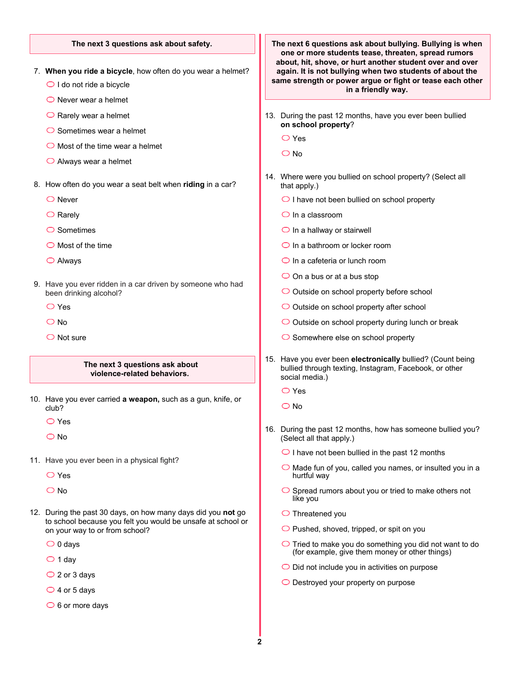#### **The next 3 questions ask about safety.**

- 7. **When you ride a bicycle**, how often do you wear a helmet?
	- $\bigcirc$  I do not ride a bicycle
	- $\bigcirc$  Never wear a helmet
	- $\bigcirc$  Rarely wear a helmet
	- $\bigcirc$  Sometimes wear a helmet
	- $\bigcirc$  Most of the time wear a helmet
	- $\bigcirc$  Always wear a helmet
- 8. How often do you wear a seat belt when **riding** in a car?
	- $\bigcirc$  Never
	- $\bigcirc$  Rarely
	- $\bigcirc$  Sometimes
	- $\bigcirc$  Most of the time
	- Always
- 9. Have you ever ridden in a car driven by someone who had been drinking alcohol?
	- O Yes
	- $\bigcirc$  No
	- $\bigcirc$  Not sure

#### **The next 3 questions ask about violence-related behaviors.**

- 10. Have you ever carried **a weapon,** such as a gun, knife, or club?
	- Yes
	- O No
- 11. Have you ever been in a physical fight?
	- Yes
	- $\overline{O}$  No
- 12. During the past 30 days, on how many days did you **not** go to school because you felt you would be unsafe at school or on your way to or from school?
	- $\bigcirc$  0 days
	- $\bigcirc$  1 day
	- $\bigcirc$  2 or 3 days
	- $\bigcirc$  4 or 5 days
	- $\bigcirc$  6 or more days

**The next 6 questions ask about bullying. Bullying is when one or more students tease, threaten, spread rumors about, hit, shove, or hurt another student over and over again. It is not bullying when two students of about the same strength or power argue or fight or tease each other in a friendly way.**

- 13. During the past 12 months, have you ever been bullied **on school property**?
	- Yes
	- $\bigcirc$  No
- 14. Where were you bullied on school property? (Select all that apply.)
	- $\bigcirc$  I have not been bullied on school property
	- $\bigcirc$  In a classroom
	- $\bigcirc$  In a hallway or stairwell
	- $\bigcirc$  In a bathroom or locker room
	- $\bigcirc$  In a cafeteria or lunch room
	- $\bigcirc$  On a bus or at a bus stop
	- $\bigcirc$  Outside on school property before school
	- $\bigcirc$  Outside on school property after school
	- $\bigcirc$  Outside on school property during lunch or break
	- $\bigcirc$  Somewhere else on school property
- 15. Have you ever been **electronically** bullied? (Count being bullied through texting, Instagram, Facebook, or other social media.)
	- Yes
	- O No
- 16. During the past 12 months, how has someone bullied you? (Select all that apply.)
	- $\bigcirc$  I have not been bullied in the past 12 months
	- $\bigcirc$  Made fun of you, called you names, or insulted you in a hurtful way
	- $\bigcirc$  Spread rumors about you or tried to make others not like you
	- $\bigcirc$  Threatened you
	- $\bigcirc$  Pushed, shoved, tripped, or spit on you
	- $\bigcirc$  Tried to make you do something you did not want to do (for example, give them money or other things)
	- $\bigcirc$  Did not include you in activities on purpose
	- O Destroyed your property on purpose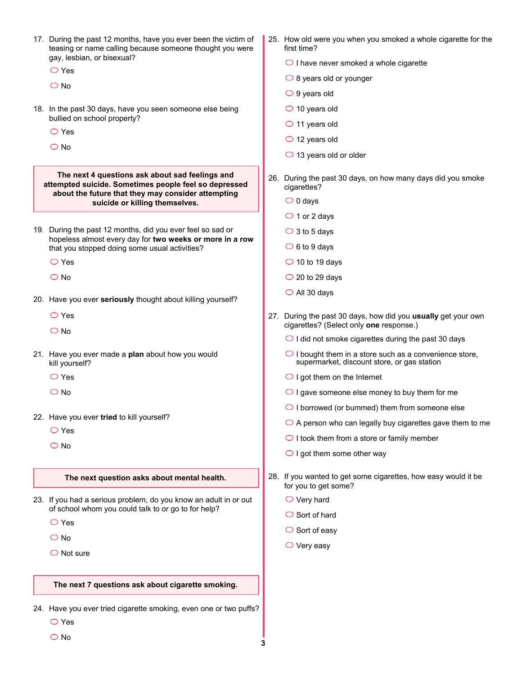| 17. During the past 12 months, have you ever been the victim of<br>teasing or name calling because someone thought you were<br>gay, lesbian, or bisexual?<br>$\bigcirc$ Yes |
|-----------------------------------------------------------------------------------------------------------------------------------------------------------------------------|
|                                                                                                                                                                             |

- 18. In the past 30 days, have you seen someone else being bullied on school property?
	- Yes
	- $\bigcirc$  No

**The next 4 questions ask about sad feelings and attempted suicide. Sometimes people feel so depressed about the future that they may consider attempting suicide or killing themselves.**

- 19. During the past 12 months, did you ever feel so sad or hopeless almost every day for **two weeks or more in a row** that you stopped doing some usual activities?
	- O Yes
	- O No
- 20. Have you ever **seriously** thought about killing yourself?
	- Yes
	- $\bigcirc$  No
- 21. Have you ever made a **plan** about how you would kill yourself?
	- O Yes
	- O No
- 22. Have you ever **tried** to kill yourself?
	- Yes
	- $\overline{O}$  No

#### **The next question asks about mental health.**

- 23. If you had a serious problem, do you know an adult in or out of school whom you could talk to or go to for help?
	- Yes
	- $\overline{O}$  No
	- $\bigcirc$  Not sure

#### **The next 7 questions ask about cigarette smoking.**

- O Yes 24. Have you ever tried cigarette smoking, even one or two puffs?
	- O No
- 25. How old were you when you smoked a whole cigarette for the first time?
	- $\bigcirc$  I have never smoked a whole cigarette
	- $\bigcirc$  8 years old or younger
	- $\bigcirc$  9 years old
	- $\bigcirc$  10 years old
	- $\bigcirc$  11 years old
	- $\bigcirc$  12 years old
	- $\bigcirc$  13 years old or older
- 26. During the past 30 days, on how many days did you smoke cigarettes?
	- $\bigcirc$  0 days
	- $\bigcirc$  1 or 2 days
	- $\bigcirc$  3 to 5 days
	- $\bigcirc$  6 to 9 days
	- $\bigcirc$  10 to 19 days
	- $\bigcirc$  20 to 29 days
	- $\bigcirc$  All 30 days
- 27. During the past 30 days, how did you **usually** get your own cigarettes? (Select only **one** response.)
	- $\bigcirc$  I did not smoke cigarettes during the past 30 days
	- $\bigcirc$  I bought them in a store such as a convenience store, supermarket, discount store, or gas station
	- $\bigcirc$  I got them on the Internet
	- $\bigcirc$  I gave someone else money to buy them for me
	- $\bigcirc$  I borrowed (or bummed) them from someone else
	- $\bigcirc$  A person who can legally buy cigarettes gave them to me
	- $\bigcirc$  I took them from a store or family member
	- $\bigcirc$  I got them some other way
- 28. If you wanted to get some cigarettes, how easy would it be for you to get some?
	- $\bigcirc$  Very hard
	- $\bigcirc$  Sort of hard
	- $\bigcirc$  Sort of easy
	- $\bigcirc$  Very easy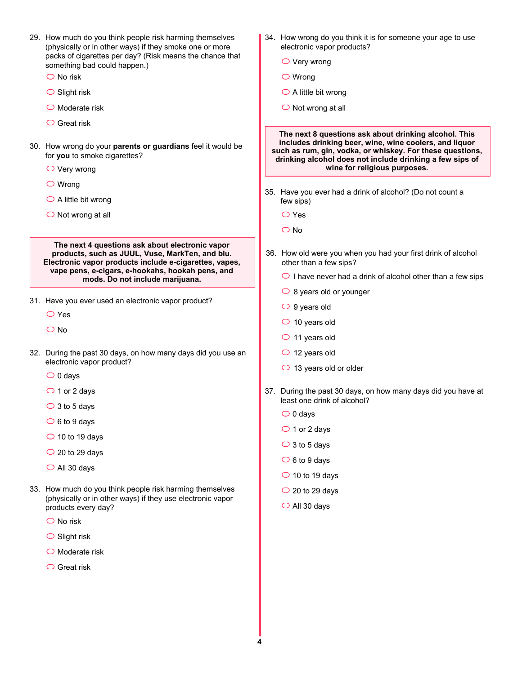| 29. How much do you think people risk harming themselves<br>(physically or in other ways) if they smoke one or more<br>packs of cigarettes per day? (Risk means the chance that                                  |  | 34. How wrong do you think it is for someone your age to use<br>electronic vapor products?<br>$\bigcirc$ Very wrong                                                                                                                                                      |
|------------------------------------------------------------------------------------------------------------------------------------------------------------------------------------------------------------------|--|--------------------------------------------------------------------------------------------------------------------------------------------------------------------------------------------------------------------------------------------------------------------------|
| something bad could happen.)<br>$\bigcirc$ No risk                                                                                                                                                               |  |                                                                                                                                                                                                                                                                          |
|                                                                                                                                                                                                                  |  | $\bigcirc$ Wrong                                                                                                                                                                                                                                                         |
| $\bigcirc$ Slight risk                                                                                                                                                                                           |  | $\bigcirc$ A little bit wrong                                                                                                                                                                                                                                            |
| $\bigcirc$ Moderate risk                                                                                                                                                                                         |  | $\bigcirc$ Not wrong at all                                                                                                                                                                                                                                              |
| $\bigcirc$ Great risk<br>30. How wrong do your parents or guardians feel it would be<br>for you to smoke cigarettes?<br>$\bigcirc$ Very wrong                                                                    |  | The next 8 questions ask about drinking alcohol. This<br>includes drinking beer, wine, wine coolers, and liquor<br>such as rum, gin, vodka, or whiskey. For these questions,<br>drinking alcohol does not include drinking a few sips of<br>wine for religious purposes. |
| $\bigcirc$ Wrong                                                                                                                                                                                                 |  |                                                                                                                                                                                                                                                                          |
| $\bigcirc$ A little bit wrong                                                                                                                                                                                    |  | 35. Have you ever had a drink of alcohol? (Do not count a<br>few sips)                                                                                                                                                                                                   |
| $\bigcirc$ Not wrong at all                                                                                                                                                                                      |  | $\bigcirc$ Yes                                                                                                                                                                                                                                                           |
|                                                                                                                                                                                                                  |  | $\bigcirc$ No                                                                                                                                                                                                                                                            |
| The next 4 questions ask about electronic vapor<br>products, such as JUUL, Vuse, MarkTen, and blu.<br>Electronic vapor products include e-cigarettes, vapes,<br>vape pens, e-cigars, e-hookahs, hookah pens, and |  | 36. How old were you when you had your first drink of alcohol<br>other than a few sips?                                                                                                                                                                                  |
| mods. Do not include marijuana.                                                                                                                                                                                  |  | $\bigcirc$ I have never had a drink of alcohol other than a few sips                                                                                                                                                                                                     |
| 31. Have you ever used an electronic vapor product?                                                                                                                                                              |  | $\circ$ 8 years old or younger                                                                                                                                                                                                                                           |
| $\bigcirc$ Yes                                                                                                                                                                                                   |  | $\bigcirc$ 9 years old                                                                                                                                                                                                                                                   |
| $\bigcirc$ No                                                                                                                                                                                                    |  | $\circ$ 10 years old                                                                                                                                                                                                                                                     |
|                                                                                                                                                                                                                  |  | $\circ$ 11 years old                                                                                                                                                                                                                                                     |
| 32. During the past 30 days, on how many days did you use an<br>electronic vapor product?                                                                                                                        |  | $\circ$ 12 years old                                                                                                                                                                                                                                                     |
| $\bigcirc$ 0 days                                                                                                                                                                                                |  | $\bigcirc$ 13 years old or older                                                                                                                                                                                                                                         |
| $\bigcirc$ 1 or 2 days                                                                                                                                                                                           |  | 37. During the past 30 days, on how many days did you have at                                                                                                                                                                                                            |
| $\bigcirc$ 3 to 5 days                                                                                                                                                                                           |  | least one drink of alcohol?                                                                                                                                                                                                                                              |
| $\bigcirc$ 6 to 9 days                                                                                                                                                                                           |  | $\bigcirc$ 0 days                                                                                                                                                                                                                                                        |
| $\bigcirc$ 10 to 19 days                                                                                                                                                                                         |  | $\bigcirc$ 1 or 2 days                                                                                                                                                                                                                                                   |
| $\bigcirc$ 20 to 29 days                                                                                                                                                                                         |  | $\bigcirc$ 3 to 5 days                                                                                                                                                                                                                                                   |
| $\bigcirc$ All 30 days                                                                                                                                                                                           |  | $\circ$ 6 to 9 days                                                                                                                                                                                                                                                      |
|                                                                                                                                                                                                                  |  | $\bigcirc$ 10 to 19 days                                                                                                                                                                                                                                                 |
| 33. How much do you think people risk harming themselves<br>(physically or in other ways) if they use electronic vapor<br>products every day?                                                                    |  | $\bigcirc$ 20 to 29 days<br>$\bigcirc$ All 30 days                                                                                                                                                                                                                       |
| $\bigcirc$ No risk                                                                                                                                                                                               |  |                                                                                                                                                                                                                                                                          |
| $\bigcirc$ Slight risk                                                                                                                                                                                           |  |                                                                                                                                                                                                                                                                          |
| $\bigcirc$ Moderate risk                                                                                                                                                                                         |  |                                                                                                                                                                                                                                                                          |
| $\bigcirc$ Great risk                                                                                                                                                                                            |  |                                                                                                                                                                                                                                                                          |
|                                                                                                                                                                                                                  |  |                                                                                                                                                                                                                                                                          |
|                                                                                                                                                                                                                  |  |                                                                                                                                                                                                                                                                          |
|                                                                                                                                                                                                                  |  |                                                                                                                                                                                                                                                                          |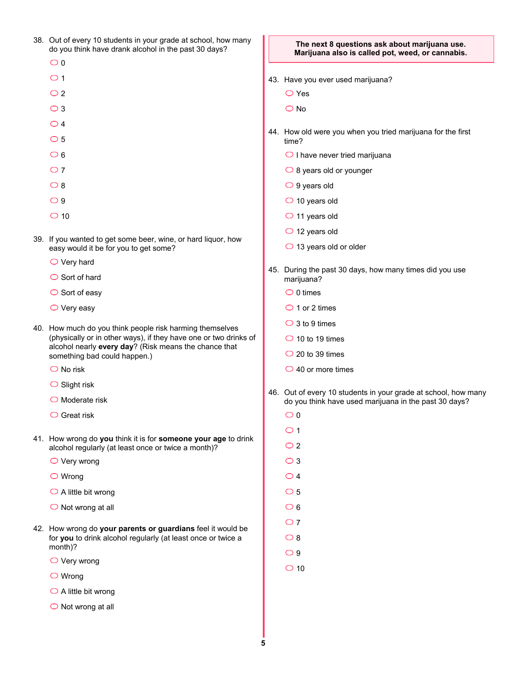|  | 38. Out of every 10 students in your grade at school, how many<br>do you think have drank alcohol in the past 30 days?    | The next 8 questions ask about marijuana use.<br>Marijuana also is called pot, weed, or cannabis. |                                                                      |  |  |  |
|--|---------------------------------------------------------------------------------------------------------------------------|---------------------------------------------------------------------------------------------------|----------------------------------------------------------------------|--|--|--|
|  | $\circ$                                                                                                                   |                                                                                                   |                                                                      |  |  |  |
|  | $\circ$ 1                                                                                                                 |                                                                                                   | 43. Have you ever used marijuana?                                    |  |  |  |
|  | $\bigcirc$ 2                                                                                                              |                                                                                                   | $\bigcirc$ Yes                                                       |  |  |  |
|  | $\bigcirc$ 3                                                                                                              |                                                                                                   | $\bigcirc$ No                                                        |  |  |  |
|  | $\bigcirc$ 4                                                                                                              |                                                                                                   |                                                                      |  |  |  |
|  | $\circ$ 5                                                                                                                 |                                                                                                   | 44. How old were you when you tried marijuana for the first<br>time? |  |  |  |
|  | $\circ$ 6                                                                                                                 |                                                                                                   | $\bigcirc$ I have never tried marijuana                              |  |  |  |
|  | $\circ$ 7                                                                                                                 |                                                                                                   | $\bigcirc$ 8 years old or younger                                    |  |  |  |
|  | $\circ$ 8                                                                                                                 |                                                                                                   | $\bigcirc$ 9 years old                                               |  |  |  |
|  | $\bigcirc$ 9                                                                                                              |                                                                                                   | $\bigcirc$ 10 years old                                              |  |  |  |
|  | $\bigcirc$ 10                                                                                                             |                                                                                                   | $\bigcirc$ 11 years old                                              |  |  |  |
|  | 39. If you wanted to get some beer, wine, or hard liquor, how<br>easy would it be for you to get some?                    |                                                                                                   | $\bigcirc$ 12 years old                                              |  |  |  |
|  |                                                                                                                           |                                                                                                   | $\bigcirc$ 13 years old or older                                     |  |  |  |
|  | $\bigcirc$ Very hard                                                                                                      | 45.                                                                                               | During the past 30 days, how many times did you use                  |  |  |  |
|  | $\bigcirc$ Sort of hard                                                                                                   |                                                                                                   | marijuana?                                                           |  |  |  |
|  | $\circ$ Sort of easy                                                                                                      |                                                                                                   | $\circ$ 0 times                                                      |  |  |  |
|  | $\bigcirc$ Very easy                                                                                                      |                                                                                                   | $\bigcirc$ 1 or 2 times                                              |  |  |  |
|  | 40. How much do you think people risk harming themselves                                                                  |                                                                                                   | $\bigcirc$ 3 to 9 times                                              |  |  |  |
|  | (physically or in other ways), if they have one or two drinks of<br>alcohol nearly every day? (Risk means the chance that |                                                                                                   | $\bigcirc$ 10 to 19 times                                            |  |  |  |
|  | something bad could happen.)                                                                                              |                                                                                                   | $\bigcirc$ 20 to 39 times                                            |  |  |  |
|  | $\bigcirc$ No risk                                                                                                        |                                                                                                   | $\bigcirc$ 40 or more times                                          |  |  |  |
|  | $\circ$ Slight risk                                                                                                       |                                                                                                   | 46. Out of every 10 students in your grade at school, how many       |  |  |  |
|  | $\bigcirc$ Moderate risk                                                                                                  |                                                                                                   | do you think have used marijuana in the past 30 days?                |  |  |  |
|  | $\bigcirc$ Great risk                                                                                                     |                                                                                                   | $\circ$                                                              |  |  |  |
|  | 41. How wrong do you think it is for someone your age to drink                                                            |                                                                                                   | $\bigcirc$ 1                                                         |  |  |  |
|  | alcohol regularly (at least once or twice a month)?                                                                       |                                                                                                   | $\bigcirc$ 2                                                         |  |  |  |
|  | $\bigcirc$ Very wrong                                                                                                     |                                                                                                   | $\bigcirc$ 3                                                         |  |  |  |
|  | $\bigcirc$ Wrong                                                                                                          |                                                                                                   | $\bigcirc$ 4                                                         |  |  |  |
|  | $\bigcirc$ A little bit wrong                                                                                             |                                                                                                   | $\circ$ 5                                                            |  |  |  |
|  | $\bigcirc$ Not wrong at all                                                                                               |                                                                                                   | $\circ$ 6                                                            |  |  |  |
|  | 42. How wrong do your parents or guardians feel it would be                                                               |                                                                                                   | $\bigcirc$ 7                                                         |  |  |  |
|  | for you to drink alcohol regularly (at least once or twice a<br>month)?                                                   |                                                                                                   | $\bigcirc$ 8                                                         |  |  |  |
|  | $\bigcirc$ Very wrong                                                                                                     |                                                                                                   | $\bigcirc$ 9                                                         |  |  |  |
|  | $\bigcirc$ Wrong                                                                                                          |                                                                                                   | $\bigcirc$ 10                                                        |  |  |  |
|  | $\bigcirc$ A little bit wrong                                                                                             |                                                                                                   |                                                                      |  |  |  |
|  | $\bigcirc$ Not wrong at all                                                                                               |                                                                                                   |                                                                      |  |  |  |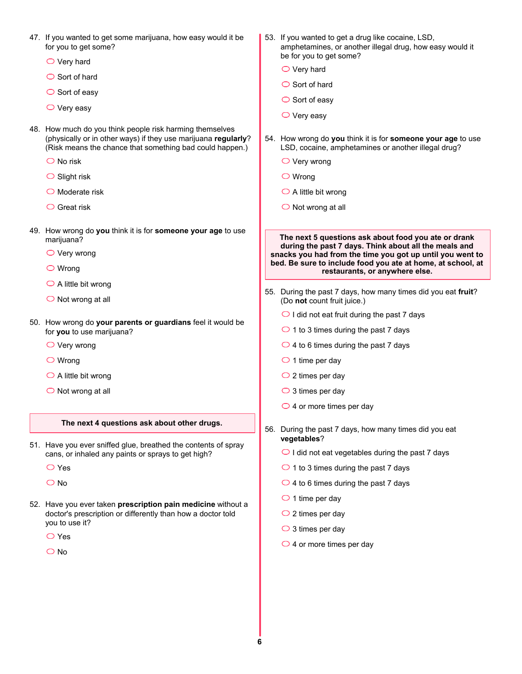|  | 47. If you wanted to get some marijuana, how easy would it be<br>for you to get some?                                                                                                  |                                                                                              | 53. If you wanted to get a drug like cocaine, LSD,<br>amphetamines, or another illegal drug, how easy would it      |  |  |
|--|----------------------------------------------------------------------------------------------------------------------------------------------------------------------------------------|----------------------------------------------------------------------------------------------|---------------------------------------------------------------------------------------------------------------------|--|--|
|  | $\bigcirc$ Very hard                                                                                                                                                                   |                                                                                              | be for you to get some?                                                                                             |  |  |
|  | $\bigcirc$ Sort of hard                                                                                                                                                                |                                                                                              | $\bigcirc$ Very hard                                                                                                |  |  |
|  | $\circ$ Sort of easy                                                                                                                                                                   |                                                                                              | $\bigcirc$ Sort of hard                                                                                             |  |  |
|  | $\bigcirc$ Very easy                                                                                                                                                                   |                                                                                              | $\circ$ Sort of easy                                                                                                |  |  |
|  |                                                                                                                                                                                        |                                                                                              | $\bigcirc$ Very easy                                                                                                |  |  |
|  | 48. How much do you think people risk harming themselves<br>(physically or in other ways) if they use marijuana regularly?<br>(Risk means the chance that something bad could happen.) |                                                                                              | 54. How wrong do you think it is for someone your age to use<br>LSD, cocaine, amphetamines or another illegal drug? |  |  |
|  | $\bigcirc$ No risk                                                                                                                                                                     |                                                                                              | $\bigcirc$ Very wrong                                                                                               |  |  |
|  | $\bigcirc$ Slight risk                                                                                                                                                                 |                                                                                              | $\bigcirc$ Wrong                                                                                                    |  |  |
|  | $\bigcirc$ Moderate risk                                                                                                                                                               |                                                                                              | $\bigcirc$ A little bit wrong                                                                                       |  |  |
|  | $\bigcirc$ Great risk                                                                                                                                                                  |                                                                                              | $\bigcirc$ Not wrong at all                                                                                         |  |  |
|  |                                                                                                                                                                                        |                                                                                              |                                                                                                                     |  |  |
|  | 49. How wrong do you think it is for someone your age to use<br>marijuana?                                                                                                             |                                                                                              | The next 5 questions ask about food you ate or drank                                                                |  |  |
|  | $\bigcirc$ Very wrong                                                                                                                                                                  |                                                                                              | during the past 7 days. Think about all the meals and<br>snacks you had from the time you got up until you went to  |  |  |
|  | $\bigcirc$ Wrong                                                                                                                                                                       |                                                                                              | bed. Be sure to include food you ate at home, at school, at<br>restaurants, or anywhere else.                       |  |  |
|  | $\bigcirc$ A little bit wrong                                                                                                                                                          |                                                                                              |                                                                                                                     |  |  |
|  | $\bigcirc$ Not wrong at all                                                                                                                                                            | 55. During the past 7 days, how many times did you eat fruit?<br>(Do not count fruit juice.) |                                                                                                                     |  |  |
|  | 50. How wrong do your parents or guardians feel it would be<br>for you to use marijuana?                                                                                               |                                                                                              | $\bigcirc$ I did not eat fruit during the past 7 days                                                               |  |  |
|  |                                                                                                                                                                                        | $\bigcirc$ 1 to 3 times during the past 7 days                                               |                                                                                                                     |  |  |
|  | $\bigcirc$ Very wrong                                                                                                                                                                  |                                                                                              | $\bigcirc$ 4 to 6 times during the past 7 days                                                                      |  |  |
|  | $\bigcirc$ Wrong                                                                                                                                                                       |                                                                                              | $\bigcirc$ 1 time per day                                                                                           |  |  |
|  | $\bigcirc$ A little bit wrong                                                                                                                                                          |                                                                                              | $\bigcirc$ 2 times per day                                                                                          |  |  |
|  | $\bigcirc$ Not wrong at all                                                                                                                                                            |                                                                                              | $\bigcirc$ 3 times per day                                                                                          |  |  |
|  |                                                                                                                                                                                        |                                                                                              | $\bigcirc$ 4 or more times per day                                                                                  |  |  |
|  | The next 4 questions ask about other drugs.                                                                                                                                            |                                                                                              | 56. During the past 7 days, how many times did you eat<br>vegetables?                                               |  |  |
|  | 51. Have you ever sniffed glue, breathed the contents of spray<br>cans, or inhaled any paints or sprays to get high?                                                                   |                                                                                              | $\bigcirc$ I did not eat vegetables during the past 7 days                                                          |  |  |
|  | $\bigcirc$ Yes                                                                                                                                                                         |                                                                                              | $\bigcirc$ 1 to 3 times during the past 7 days                                                                      |  |  |
|  | $\bigcirc$ No                                                                                                                                                                          |                                                                                              | $\bigcirc$ 4 to 6 times during the past 7 days                                                                      |  |  |
|  | 52. Have you ever taken prescription pain medicine without a<br>doctor's prescription or differently than how a doctor told                                                            |                                                                                              | $\bigcirc$ 1 time per day                                                                                           |  |  |
|  |                                                                                                                                                                                        |                                                                                              | $\bigcirc$ 2 times per day                                                                                          |  |  |
|  | you to use it?                                                                                                                                                                         |                                                                                              | $\bigcirc$ 3 times per day                                                                                          |  |  |
|  | $\bigcirc$ Yes                                                                                                                                                                         |                                                                                              | $\bigcirc$ 4 or more times per day                                                                                  |  |  |
|  | $\bigcirc$ No                                                                                                                                                                          |                                                                                              |                                                                                                                     |  |  |
|  |                                                                                                                                                                                        |                                                                                              |                                                                                                                     |  |  |
|  |                                                                                                                                                                                        |                                                                                              |                                                                                                                     |  |  |
|  |                                                                                                                                                                                        |                                                                                              |                                                                                                                     |  |  |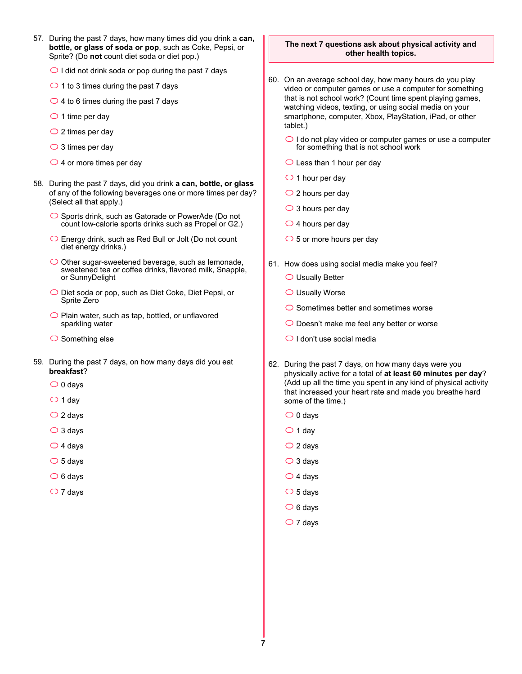- 57. During the past 7 days, how many times did you drink a **can, bottle, or glass of soda or pop**, such as Coke, Pepsi, or Sprite? (Do **not** count diet soda or diet pop.)
	- $\bigcirc$  I did not drink soda or pop during the past 7 days
	- $\bigcirc$  1 to 3 times during the past 7 days
	- $\bigcirc$  4 to 6 times during the past 7 days
	- $\bigcirc$  1 time per day
	- $\bigcirc$  2 times per day
	- $\bigcirc$  3 times per day
	- $\bigcirc$  4 or more times per day
- 58. During the past 7 days, did you drink **a can, bottle, or glass** of any of the following beverages one or more times per day? (Select all that apply.)
	- $\bigcirc$  Sports drink, such as Gatorade or PowerAde (Do not count low-calorie sports drinks such as Propel or G2.)
	- Energy drink, such as Red Bull or Jolt (Do not count diet energy drinks.)
	- $\bigcirc$  Other sugar-sweetened beverage, such as lemonade, sweetened tea or coffee drinks, flavored milk, Snapple, or SunnyDelight
	- O Diet soda or pop, such as Diet Coke, Diet Pepsi, or Sprite Zero
	- $\bigcirc$  Plain water, such as tap, bottled, or unflavored sparkling water
	- $\bigcirc$  Something else
- 59. During the past 7 days, on how many days did you eat **breakfast**?
	- $\bigcirc$  0 days
	- $\bigcirc$  1 day
	- $\bigcirc$  2 days
	- $\bigcirc$  3 days
	- $\bigcirc$  4 days
	- $\circ$  5 days
	- $\bigcirc$  6 days
	- $\bigcirc$  7 days

#### **The next 7 questions ask about physical activity and other health topics.**

- 60. On an average school day, how many hours do you play video or computer games or use a computer for something that is not school work? (Count time spent playing games, watching videos, texting, or using social media on your smartphone, computer, Xbox, PlayStation, iPad, or other tablet.)
	- $\bigcirc$  I do not play video or computer games or use a computer for something that is not school work
	- $\bigcirc$  Less than 1 hour per day
	- $\bigcirc$  1 hour per day
	- $\bigcirc$  2 hours per day
	- $\bigcirc$  3 hours per day
	- $\bigcirc$  4 hours per day
	- $\bigcirc$  5 or more hours per day
- 61. How does using social media make you feel?
	- Usually Better
	- $\bigcirc$  Usually Worse
	- $\bigcirc$  Sometimes better and sometimes worse
	- O Doesn't make me feel any better or worse
	- $\bigcirc$  I don't use social media
- 62. During the past 7 days, on how many days were you physically active for a total of **at least 60 minutes per day**? (Add up all the time you spent in any kind of physical activity that increased your heart rate and made you breathe hard some of the time.)
	- $\bigcirc$  0 days
	- $\bigcirc$  1 day
	- $\bigcirc$  2 days
	- $\bigcirc$  3 days
	- $\bigcirc$  4 days
	- $\circ$  5 days
	- $\circ$  6 days
	- $\bigcirc$  7 days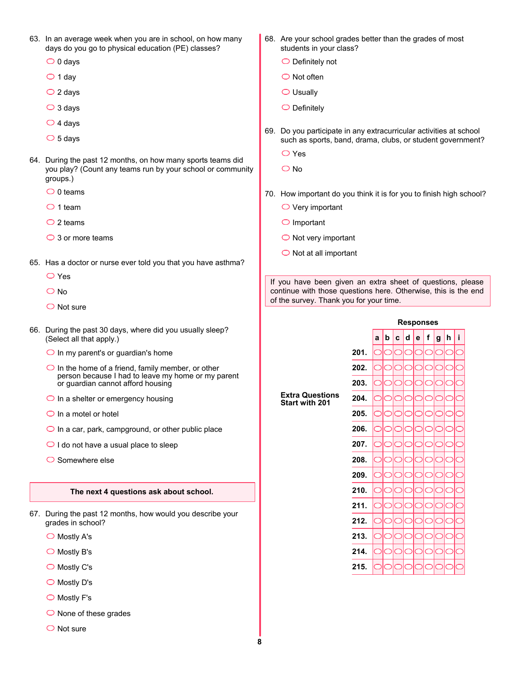- 63. In an average week when you are in school, on how many days do you go to physical education (PE) classes?
	- $\bigcirc$  0 days
	- $\bigcirc$  1 day
	- $\bigcirc$  2 days
	- $\bigcirc$  3 days
	- $\bigcirc$  4 days
	- $\circ$  5 days
- 64. During the past 12 months, on how many sports teams did you play? (Count any teams run by your school or community groups.)
	- $\bigcirc$  0 teams
	- $\bigcirc$  1 team
	- $\bigcirc$  2 teams
	- $\bigcirc$  3 or more teams
- 65. Has a doctor or nurse ever told you that you have asthma?
	- Yes
	- O No
	- $\bigcirc$  Not sure
- 66. During the past 30 days, where did you usually sleep? (Select all that apply.)
	- $\bigcirc$  In my parent's or guardian's home
	- $\bigcirc$  In the home of a friend, family member, or other person because I had to leave my home or my parent or guardian cannot afford housing
	- $\bigcirc$  In a shelter or emergency housing
	- $\bigcirc$  In a motel or hotel
	- $\bigcirc$  In a car, park, campground, or other public place
	- $\bigcirc$  I do not have a usual place to sleep
	- $\bigcirc$  Somewhere else

### **The next 4 questions ask about school.**

- 67. During the past 12 months, how would you describe your grades in school?
	- $\bigcirc$  Mostly A's
	- $\bigcirc$  Mostly B's
	- $\bigcirc$  Mostly C's
	- ◯ Mostly D's
	- $\bigcirc$  Mostly F's
	- $\bigcirc$  None of these grades
	- $\bigcirc$  Not sure
- 68. Are your school grades better than the grades of most students in your class?
	- $\bigcirc$  Definitely not
	- $\bigcirc$  Not often
	- $\bigcirc$  Usually
	- $\bigcirc$  Definitely
- 69. Do you participate in any extracurricular activities at school such as sports, band, drama, clubs, or student government?
	- $\bigcirc$  Yes
	- $\overline{\bigcirc}$  No
- 70. How important do you think it is for you to finish high school?
	- $\bigcirc$  Very important
	- $\bigcirc$  Important
	- $\bigcirc$  Not very important
	- $\bigcirc$  Not at all important

If you have been given an extra sheet of questions, please continue with those questions here. Otherwise, this is the end of the survey. Thank you for your time.

de fgh

|                                                 |      | <b>Responses</b> |   |   |   |   |   |   |  |
|-------------------------------------------------|------|------------------|---|---|---|---|---|---|--|
|                                                 |      | a                | b | C | d | e | f | Į |  |
|                                                 | 201. |                  |   |   |   |   |   | C |  |
|                                                 | 202. |                  |   |   |   |   |   | C |  |
|                                                 | 203. |                  |   |   |   |   |   | C |  |
| <b>Extra Questions</b><br><b>Start with 201</b> | 204. |                  |   |   |   |   |   | C |  |
|                                                 | 205. |                  |   |   |   |   |   | C |  |
|                                                 | 206. |                  |   |   |   |   |   | C |  |
|                                                 | 207. |                  |   |   |   |   |   | C |  |
|                                                 | 208. |                  |   |   |   |   |   | C |  |
|                                                 | 209. |                  |   |   |   |   |   | C |  |
|                                                 | 210. |                  |   |   |   |   |   | C |  |
|                                                 | 211. |                  |   |   |   |   |   | Ć |  |
|                                                 | 212. | ۰.               |   |   |   |   |   | Ć |  |
|                                                 | 213. |                  |   |   |   |   |   | Ć |  |
|                                                 | 214. |                  |   |   |   |   |   | C |  |
|                                                 | 215. |                  |   |   |   |   |   | C |  |
|                                                 |      |                  |   |   |   |   |   |   |  |